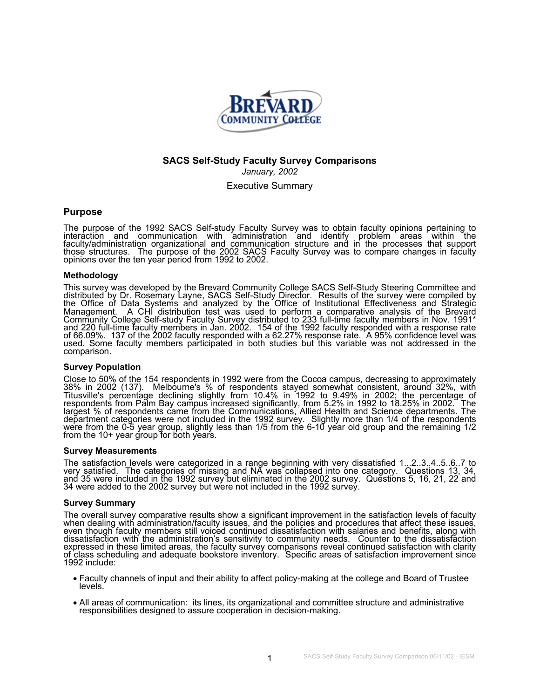

# **SACS Self-Study Faculty Survey Comparisons**  *January, 2002*

Executive Summary

## **Purpose**

The purpose of the 1992 SACS Self-study Faculty Survey was to obtain faculty opinions pertaining to interaction<br>interaction and communication with administration and identify problem areas within the faculty/administration organizational and communication structure and in the processes that support<br>those structures. The purpose of the 2002 SACS Faculty Survey was to compare changes in faculty<br>opinions over the ten yea

### **Methodology**

This survey was developed by the Brevard Community College SACS Self-Study Steering Committee and<br>distributed by Dr. Rosemary Layne, SACS Self-Study Director. Results of the survey were compiled by<br>the Office of Data Syste of 66.09%. 137 of the 2002 faculty responded with a 62.27% response rate. A 95% confidence level was<br>used. Some faculty members participated in both studies but this variable was not addressed in the comparison.

#### **Survey Population**

Close to 50% of the 154 respondents in 1992 were from the Cocoa campus, decreasing to approximately 38% in 2002 (137). Melbourne's % of respondents stayed somewhat consistent, around 32%, with Titusville's percentage decli department categories were not included in the 1992 survey. Slightly more than 1/4 of the respondents<br>were from the 0-5 year group, slightly less than 1/5 from the 6-10 year old group and the remaining 1/2<br>from the 10+ ye

#### **Survey Measurements**

The satisfaction levels were categorized in a range beginning with very dissatisfied 1...2..3.4..5..6..7 to very satisfied. The categories of missing and NA was collapsed into one category. Questions 13, 34, and 35 were in

#### **Survey Summary**

The overall survey comparative results show a significant improvement in the satisfaction levels of faculty when dealing with administration/faculty issues, and the policies and procedures that affect these issues, even th dissatisfaction with the administration's sensitivity to community needs. Counter to the dissatisfaction<br>expressed in these limited areas, the faculty survey comparisons reveal continued satisfaction with clarity<br>of class

- Faculty channels of input and their ability to affect policy-making at the college and Board of Trustee levels.
- All areas of communication: its lines, its organizational and committee structure and administrative responsibilities designed to assure cooperation in decision-making.